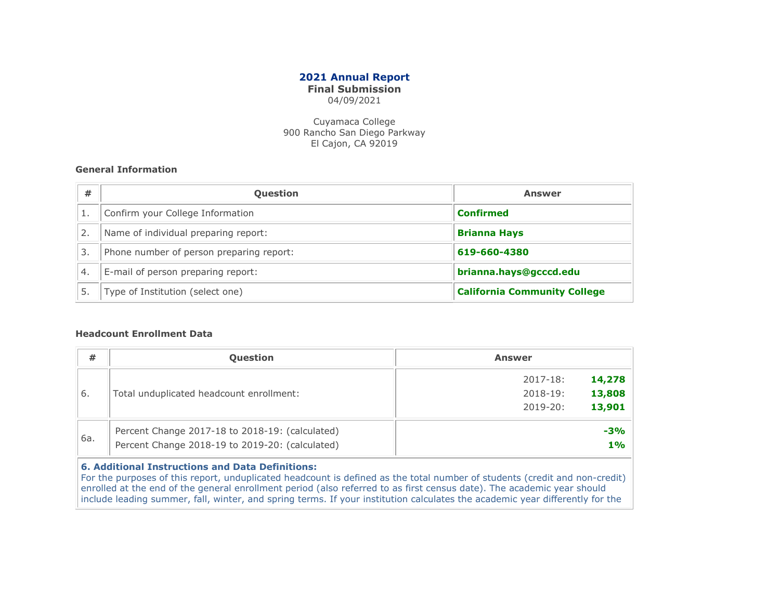# 2021 Annual Report

# Final Submission

04/09/2021

Cuyamaca College 900 Rancho San Diego Parkway El Cajon, CA 92019

## General Information

| #                | <b>Question</b>                          | <b>Answer</b>                       |  |  |  |
|------------------|------------------------------------------|-------------------------------------|--|--|--|
|                  | Confirm your College Information         | <b>Confirmed</b>                    |  |  |  |
|                  | Name of individual preparing report:     | <b>Brianna Hays</b>                 |  |  |  |
| З.               | Phone number of person preparing report: | 619-660-4380                        |  |  |  |
| $\overline{4}$ . | E-mail of person preparing report:       | brianna.hays@gcccd.edu              |  |  |  |
|                  | Type of Institution (select one)         | <b>California Community College</b> |  |  |  |

#### Headcount Enrollment Data

| #   | Question                                        | <b>Answer</b>          |
|-----|-------------------------------------------------|------------------------|
|     |                                                 | $2017 - 18:$<br>14,278 |
| 6.  | Total unduplicated headcount enrollment:        | 13,808<br>$2018 - 19:$ |
|     |                                                 | 13,901<br>$2019 - 20:$ |
|     | Percent Change 2017-18 to 2018-19: (calculated) | $-3%$                  |
| 6а. | Percent Change 2018-19 to 2019-20: (calculated) | 1%                     |

# 6. Additional Instructions and Data Definitions:

For the purposes of this report, unduplicated headcount is defined as the total number of students (credit and non-credit) enrolled at the end of the general enrollment period (also referred to as first census date). The academic year should include leading summer, fall, winter, and spring terms. If your institution calculates the academic year differently for the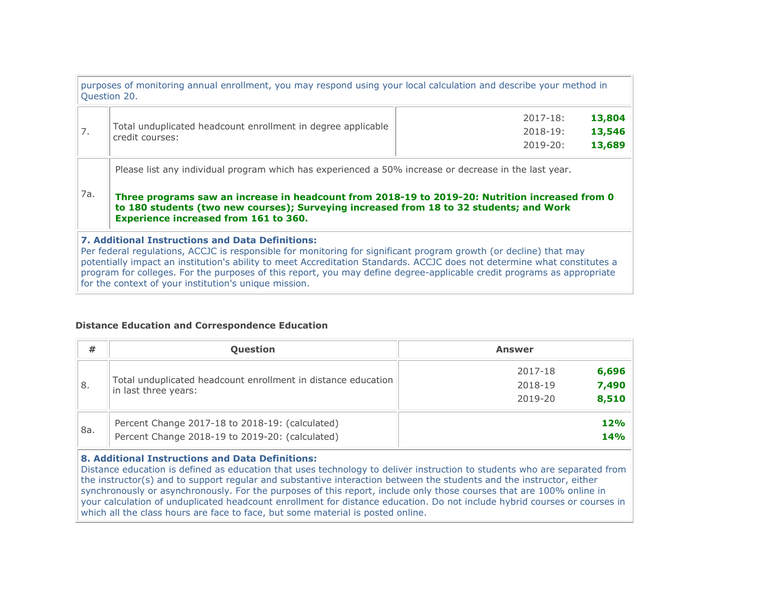|     | purposes of monitoring annual enrollment, you may respond using your local calculation and describe your method in<br>Question 20.                                                                                                                                                                                                           |                        |
|-----|----------------------------------------------------------------------------------------------------------------------------------------------------------------------------------------------------------------------------------------------------------------------------------------------------------------------------------------------|------------------------|
|     |                                                                                                                                                                                                                                                                                                                                              | 13,804<br>$2017 - 18:$ |
| 7.  | Total unduplicated headcount enrollment in degree applicable<br>credit courses:                                                                                                                                                                                                                                                              | 13,546<br>$2018 - 19:$ |
|     |                                                                                                                                                                                                                                                                                                                                              | 13,689<br>$2019 - 20:$ |
| 7a. | Please list any individual program which has experienced a 50% increase or decrease in the last year.<br>Three programs saw an increase in headcount from 2018-19 to 2019-20: Nutrition increased from 0<br>to 180 students (two new courses); Surveying increased from 18 to 32 students; and Work<br>Experience increased from 161 to 360. |                        |
|     | <b>7. Additional Instructions and Data Definitions:</b><br>Per federal regulations, ACCJC is responsible for monitoring for significant program growth (or decline) that may<br>potentially impact an institution's ability to meet Accreditation Standards. ACCJC does not determine what constitutes a                                     |                        |

program for colleges. For the purposes of this report, you may define degree-applicable credit programs as appropriate for the context of your institution's unique mission.

## Distance Education and Correspondence Education

| #   | <b>Question</b>                                                                       | Answer           |  |  |  |  |
|-----|---------------------------------------------------------------------------------------|------------------|--|--|--|--|
|     |                                                                                       | 6,696<br>2017-18 |  |  |  |  |
| 8.  | Total unduplicated headcount enrollment in distance education<br>in last three years: | 7,490<br>2018-19 |  |  |  |  |
|     |                                                                                       | 8,510<br>2019-20 |  |  |  |  |
|     | Percent Change 2017-18 to 2018-19: (calculated)                                       | 12%              |  |  |  |  |
| 8a. | Percent Change 2018-19 to 2019-20: (calculated)                                       | 14%              |  |  |  |  |

## 8. Additional Instructions and Data Definitions:

Distance education is defined as education that uses technology to deliver instruction to students who are separated from the instructor(s) and to support regular and substantive interaction between the students and the instructor, either synchronously or asynchronously. For the purposes of this report, include only those courses that are 100% online in your calculation of unduplicated headcount enrollment for distance education. Do not include hybrid courses or courses in which all the class hours are face to face, but some material is posted online.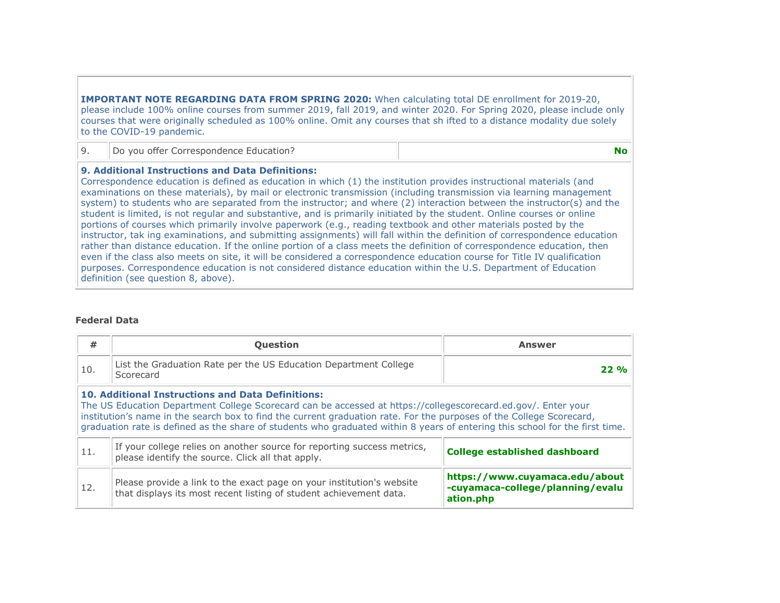IMPORTANT NOTE REGARDING DATA FROM SPRING 2020: When calculating total DE enrollment for 2019-20, please include 100% online courses from summer 2019, fall 2019, and winter 2020. For Spring 2020, please include only courses that were originally scheduled as 100% online. Omit any courses that sh ifted to a distance modality due solely to the COVID-19 pandemic.

|  | Do you offer Correspondence Education? |  |
|--|----------------------------------------|--|
|--|----------------------------------------|--|

#### 9. Additional Instructions and Data Definitions:

Correspondence education is defined as education in which (1) the institution provides instructional materials (and examinations on these materials), by mail or electronic transmission (including transmission via learning management system) to students who are separated from the instructor; and where (2) interaction between the instructor(s) and the student is limited, is not regular and substantive, and is primarily initiated by the student. Online courses or online portions of courses which primarily involve paperwork (e.g., reading textbook and other materials posted by the instructor, tak ing examinations, and submitting assignments) will fall within the definition of correspondence education rather than distance education. If the online portion of a class meets the definition of correspondence education, then even if the class also meets on site, it will be considered a correspondence education course for Title IV qualification purposes. Correspondence education is not considered distance education within the U.S. Department of Education definition (see question 8, above).

#### Federal Data

| #                                                                                    | Question                                                                                                                                                                                                                                                                                                                                                                                                                          | <b>Answer</b>                                                                   |  |  |  |  |  |  |
|--------------------------------------------------------------------------------------|-----------------------------------------------------------------------------------------------------------------------------------------------------------------------------------------------------------------------------------------------------------------------------------------------------------------------------------------------------------------------------------------------------------------------------------|---------------------------------------------------------------------------------|--|--|--|--|--|--|
| List the Graduation Rate per the US Education Department College<br>10.<br>Scorecard |                                                                                                                                                                                                                                                                                                                                                                                                                                   | $22\%$                                                                          |  |  |  |  |  |  |
|                                                                                      | <b>10. Additional Instructions and Data Definitions:</b><br>The US Education Department College Scorecard can be accessed at https://collegescorecard.ed.gov/. Enter your<br>institution's name in the search box to find the current graduation rate. For the purposes of the College Scorecard,<br>graduation rate is defined as the share of students who graduated within 8 years of entering this school for the first time. |                                                                                 |  |  |  |  |  |  |
| 11.                                                                                  | If your college relies on another source for reporting success metrics,<br><b>College established dashboard</b><br>please identify the source. Click all that apply.                                                                                                                                                                                                                                                              |                                                                                 |  |  |  |  |  |  |
| 12.                                                                                  | Please provide a link to the exact page on your institution's website<br>that displays its most recent listing of student achievement data.                                                                                                                                                                                                                                                                                       | https://www.cuyamaca.edu/about<br>-cuyamaca-college/planning/evalu<br>ation.php |  |  |  |  |  |  |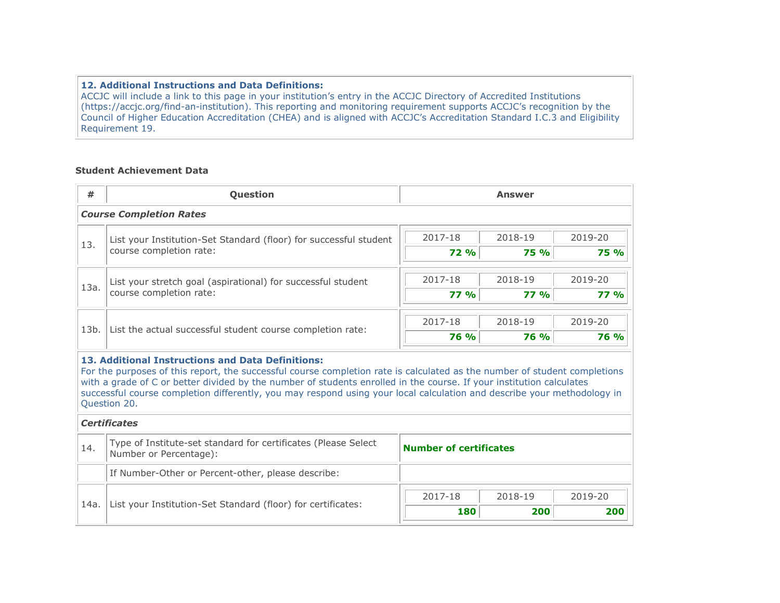## 12. Additional Instructions and Data Definitions:

ACCJC will include a link to this page in your institution's entry in the ACCJC Directory of Accredited Institutions (https://accjc.org/find-an-institution). This reporting and monitoring requirement supports ACCJC's recognition by the Council of Higher Education Accreditation (CHEA) and is aligned with ACCJC's Accreditation Standard I.C.3 and Eligibility Requirement 19.

## Student Achievement Data

| #                                                                    | Question                                                                                                                                                                                                                                                                                                                                                                                                                                          | <b>Answer</b>                             |  |  |  |  |
|----------------------------------------------------------------------|---------------------------------------------------------------------------------------------------------------------------------------------------------------------------------------------------------------------------------------------------------------------------------------------------------------------------------------------------------------------------------------------------------------------------------------------------|-------------------------------------------|--|--|--|--|
|                                                                      | <b>Course Completion Rates</b>                                                                                                                                                                                                                                                                                                                                                                                                                    |                                           |  |  |  |  |
|                                                                      | List your Institution-Set Standard (floor) for successful student                                                                                                                                                                                                                                                                                                                                                                                 | 2017-18<br>2019-20<br>2018-19             |  |  |  |  |
| 13.                                                                  | course completion rate:                                                                                                                                                                                                                                                                                                                                                                                                                           | <b>72 %</b><br><b>75 %</b><br><b>75 %</b> |  |  |  |  |
|                                                                      |                                                                                                                                                                                                                                                                                                                                                                                                                                                   | 2017-18<br>2018-19<br>2019-20             |  |  |  |  |
| 13a.                                                                 | List your stretch goal (aspirational) for successful student<br>course completion rate:                                                                                                                                                                                                                                                                                                                                                           | <b>77 %</b><br><b>77 %</b><br>77%         |  |  |  |  |
|                                                                      |                                                                                                                                                                                                                                                                                                                                                                                                                                                   |                                           |  |  |  |  |
| 13b.                                                                 | List the actual successful student course completion rate:                                                                                                                                                                                                                                                                                                                                                                                        | 2017-18<br>2018-19<br>2019-20             |  |  |  |  |
|                                                                      |                                                                                                                                                                                                                                                                                                                                                                                                                                                   | <b>76 %</b><br><b>76 %</b><br><b>76 %</b> |  |  |  |  |
|                                                                      | 13. Additional Instructions and Data Definitions:<br>For the purposes of this report, the successful course completion rate is calculated as the number of student completions<br>with a grade of C or better divided by the number of students enrolled in the course. If your institution calculates<br>successful course completion differently, you may respond using your local calculation and describe your methodology in<br>Question 20. |                                           |  |  |  |  |
|                                                                      | <b>Certificates</b>                                                                                                                                                                                                                                                                                                                                                                                                                               |                                           |  |  |  |  |
| 14.                                                                  | Type of Institute-set standard for certificates (Please Select<br>Number or Percentage):                                                                                                                                                                                                                                                                                                                                                          | <b>Number of certificates</b>             |  |  |  |  |
|                                                                      | If Number-Other or Percent-other, please describe:                                                                                                                                                                                                                                                                                                                                                                                                |                                           |  |  |  |  |
|                                                                      |                                                                                                                                                                                                                                                                                                                                                                                                                                                   | 2017-18<br>2018-19<br>2019-20             |  |  |  |  |
| List your Institution-Set Standard (floor) for certificates:<br>14a. | 200<br>180<br>200                                                                                                                                                                                                                                                                                                                                                                                                                                 |                                           |  |  |  |  |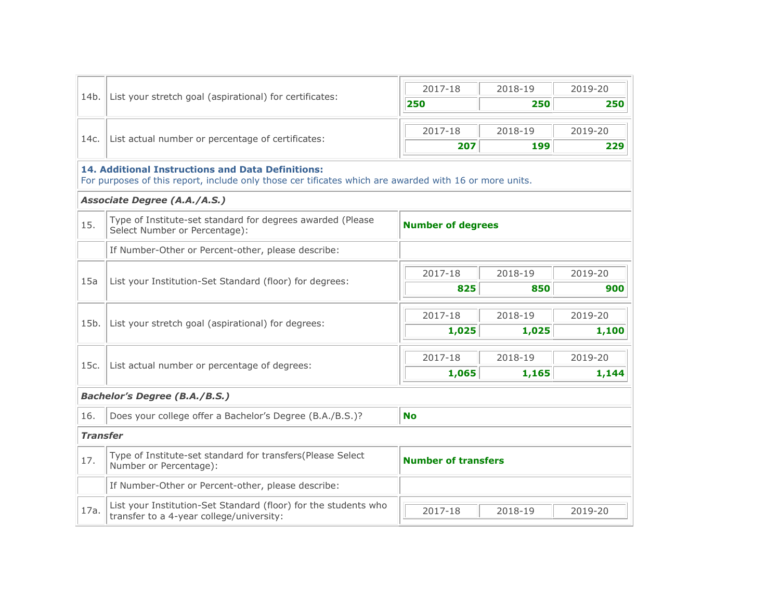| 14b.            | List your stretch goal (aspirational) for certificates:                                                                                                            | 2017-18                    | 2018-19 | 2019-20 |
|-----------------|--------------------------------------------------------------------------------------------------------------------------------------------------------------------|----------------------------|---------|---------|
|                 |                                                                                                                                                                    | 250                        | 250     | 250     |
|                 |                                                                                                                                                                    |                            |         |         |
| 14c.            | List actual number or percentage of certificates:                                                                                                                  | 2017-18                    | 2018-19 | 2019-20 |
|                 |                                                                                                                                                                    | 207                        | 199     | 229     |
|                 | <b>14. Additional Instructions and Data Definitions:</b><br>For purposes of this report, include only those cer tificates which are awarded with 16 or more units. |                            |         |         |
|                 | Associate Degree (A.A./A.S.)                                                                                                                                       |                            |         |         |
| 15.             | Type of Institute-set standard for degrees awarded (Please<br>Select Number or Percentage):                                                                        | <b>Number of degrees</b>   |         |         |
|                 | If Number-Other or Percent-other, please describe:                                                                                                                 |                            |         |         |
| 15a             | List your Institution-Set Standard (floor) for degrees:                                                                                                            | 2017-18                    | 2018-19 | 2019-20 |
|                 |                                                                                                                                                                    | 825                        | 850     | 900     |
|                 | List your stretch goal (aspirational) for degrees:                                                                                                                 | 2017-18                    | 2018-19 | 2019-20 |
| 15b.            |                                                                                                                                                                    | 1,025                      | 1,025   | 1,100   |
|                 | List actual number or percentage of degrees:                                                                                                                       | 2017-18                    | 2018-19 | 2019-20 |
| 15c.            |                                                                                                                                                                    | 1,065                      | 1,165   | 1,144   |
|                 | <b>Bachelor's Degree (B.A./B.S.)</b>                                                                                                                               |                            |         |         |
| 16.             | Does your college offer a Bachelor's Degree (B.A./B.S.)?                                                                                                           | <b>No</b>                  |         |         |
| <b>Transfer</b> |                                                                                                                                                                    |                            |         |         |
| 17.             | Type of Institute-set standard for transfers(Please Select<br>Number or Percentage):                                                                               | <b>Number of transfers</b> |         |         |
|                 | If Number-Other or Percent-other, please describe:                                                                                                                 |                            |         |         |
| 17a.            | List your Institution-Set Standard (floor) for the students who<br>transfer to a 4-year college/university:                                                        | 2017-18                    | 2018-19 | 2019-20 |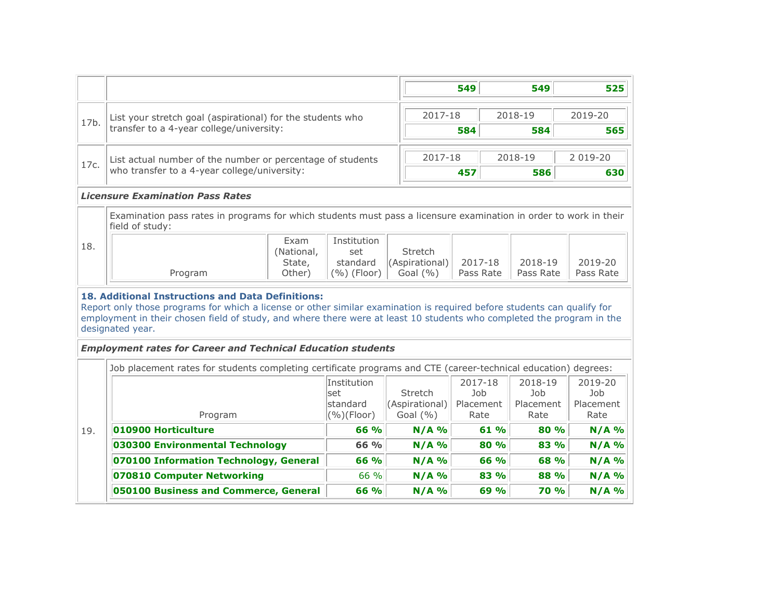|                                                                    |                                                                                                                                                                                                                                                                                                                                  |                                                 |  |                                                                   | 549                                        |         | 549                                        | 525                                 |
|--------------------------------------------------------------------|----------------------------------------------------------------------------------------------------------------------------------------------------------------------------------------------------------------------------------------------------------------------------------------------------------------------------------|-------------------------------------------------|--|-------------------------------------------------------------------|--------------------------------------------|---------|--------------------------------------------|-------------------------------------|
| List your stretch goal (aspirational) for the students who<br>17b. |                                                                                                                                                                                                                                                                                                                                  |                                                 |  | 2017-18                                                           |                                            | 2018-19 |                                            | 2019-20                             |
|                                                                    | transfer to a 4-year college/university:                                                                                                                                                                                                                                                                                         |                                                 |  |                                                                   | 584                                        |         | 584                                        | 565                                 |
| 17c.                                                               | List actual number of the number or percentage of students                                                                                                                                                                                                                                                                       |                                                 |  | 2017-18                                                           |                                            |         | 2018-19                                    | 2 019-20                            |
|                                                                    | who transfer to a 4-year college/university:                                                                                                                                                                                                                                                                                     |                                                 |  |                                                                   | 457                                        |         | 586                                        | 630                                 |
|                                                                    | <b>Licensure Examination Pass Rates</b>                                                                                                                                                                                                                                                                                          |                                                 |  |                                                                   |                                            |         |                                            |                                     |
|                                                                    | Examination pass rates in programs for which students must pass a licensure examination in order to work in their<br>field of study:                                                                                                                                                                                             |                                                 |  |                                                                   |                                            |         |                                            |                                     |
| 18.                                                                | Exam<br>(National,<br>State,<br>Program<br>Other)                                                                                                                                                                                                                                                                                | Institution<br>set<br>standard<br>$(%)$ (Floor) |  | Stretch<br>(Aspirational)<br>2017-18<br>Pass Rate<br>Goal $(\% )$ |                                            |         | 2018-19<br>Pass Rate                       | 2019-20<br>Pass Rate                |
|                                                                    | <b>18. Additional Instructions and Data Definitions:</b><br>Report only those programs for which a license or other similar examination is required before students can qualify for<br>employment in their chosen field of study, and where there were at least 10 students who completed the program in the<br>designated year. |                                                 |  |                                                                   |                                            |         |                                            |                                     |
|                                                                    | <b>Employment rates for Career and Technical Education students</b>                                                                                                                                                                                                                                                              |                                                 |  |                                                                   |                                            |         |                                            |                                     |
|                                                                    | Job placement rates for students completing certificate programs and CTE (career-technical education) degrees:                                                                                                                                                                                                                   |                                                 |  |                                                                   |                                            |         |                                            |                                     |
|                                                                    | Program                                                                                                                                                                                                                                                                                                                          | Institution<br>set<br>standard<br>(%)(Floor)    |  | Stretch<br>(Aspirational)<br>Goal $(\% )$                         | 2017-18<br><b>Job</b><br>Placement<br>Rate |         | 2018-19<br><b>Job</b><br>Placement<br>Rate | 2019-20<br>Job<br>Placement<br>Rate |
| 19.                                                                | 010900 Horticulture<br>66 %                                                                                                                                                                                                                                                                                                      |                                                 |  | $N/A$ %                                                           |                                            | 61 %    | 80 %                                       | $N/A$ %                             |
|                                                                    | 030300 Environmental Technology                                                                                                                                                                                                                                                                                                  | 66 %                                            |  | $N/A$ %                                                           |                                            | 80%     | 83 %                                       | $N/A$ %                             |
|                                                                    | 070100 Information Technology, General                                                                                                                                                                                                                                                                                           | 66 %                                            |  | $N/A$ %                                                           |                                            | 66 %    | 68 %                                       | $N/A$ %                             |
|                                                                    | 070810 Computer Networking                                                                                                                                                                                                                                                                                                       | 66 %                                            |  | $N/A$ %                                                           |                                            | 83 %    | 88 %                                       | $N/A$ %                             |
|                                                                    | 050100 Business and Commerce, General                                                                                                                                                                                                                                                                                            | 66 %                                            |  | $N/A$ %                                                           |                                            | 69%     | <b>70 %</b>                                | $N/A$ %                             |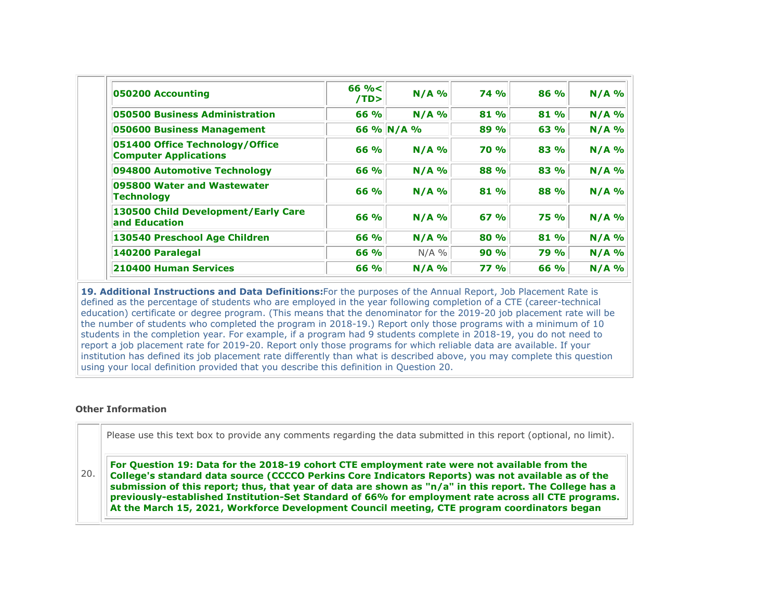| 050200 Accounting                                               | $66 \% <$<br>/TD | $N/A$ %    | 74%         | 86 %        | $N/A$ % |
|-----------------------------------------------------------------|------------------|------------|-------------|-------------|---------|
| 050500 Business Administration                                  | 66 %             | $N/A$ %    | 81 %        | 81 %        | $N/A$ % |
| 050600 Business Management                                      |                  | 66 % N/A % | 89 %        | 63 %        | $N/A$ % |
| 051400 Office Technology/Office<br><b>Computer Applications</b> | 66 %             | $N/A$ %    | <b>70 %</b> | 83 %        | $N/A$ % |
| 094800 Automotive Technology                                    | 66 %             | $N/A$ %    | 88 %        | 83 %        | $N/A$ % |
| 095800 Water and Wastewater<br><b>Technology</b>                | 66 %             | $N/A$ %    | 81 %        | 88 %        | $N/A$ % |
| 130500 Child Development/Early Care<br>and Education            | 66 %             | $N/A$ %    | 67%         | <b>75 %</b> | $N/A$ % |
| 130540 Preschool Age Children                                   | 66 %             | $N/A$ %    | 80 %        | 81 %        | $N/A$ % |
| 140200 Paralegal                                                | 66 %             | $N/A$ %    | 90%         | 79 %        | $N/A$ % |
| 210400 Human Services                                           | 66 %             | $N/A$ %    | 77%         | 66 %        | $N/A$ % |

19. Additional Instructions and Data Definitions: For the purposes of the Annual Report, Job Placement Rate is defined as the percentage of students who are employed in the year following completion of a CTE (career-technical education) certificate or degree program. (This means that the denominator for the 2019-20 job placement rate will be the number of students who completed the program in 2018-19.) Report only those programs with a minimum of 10 students in the completion year. For example, if a program had 9 students complete in 2018-19, you do not need to report a job placement rate for 2019-20. Report only those programs for which reliable data are available. If your institution has defined its job placement rate differently than what is described above, you may complete this question using your local definition provided that you describe this definition in Question 20.

#### Other Information

Please use this text box to provide any comments regarding the data submitted in this report (optional, no limit).

20. For Question 19: Data for the 2018-19 cohort CTE employment rate were not available from the College's standard data source (CCCCO Perkins Core Indicators Reports) was not available as of the submission of this report; thus, that year of data are shown as "n/a" in this report. The College has a previously-established Institution-Set Standard of 66% for employment rate across all CTE programs. At the March 15, 2021, Workforce Development Council meeting, CTE program coordinators began